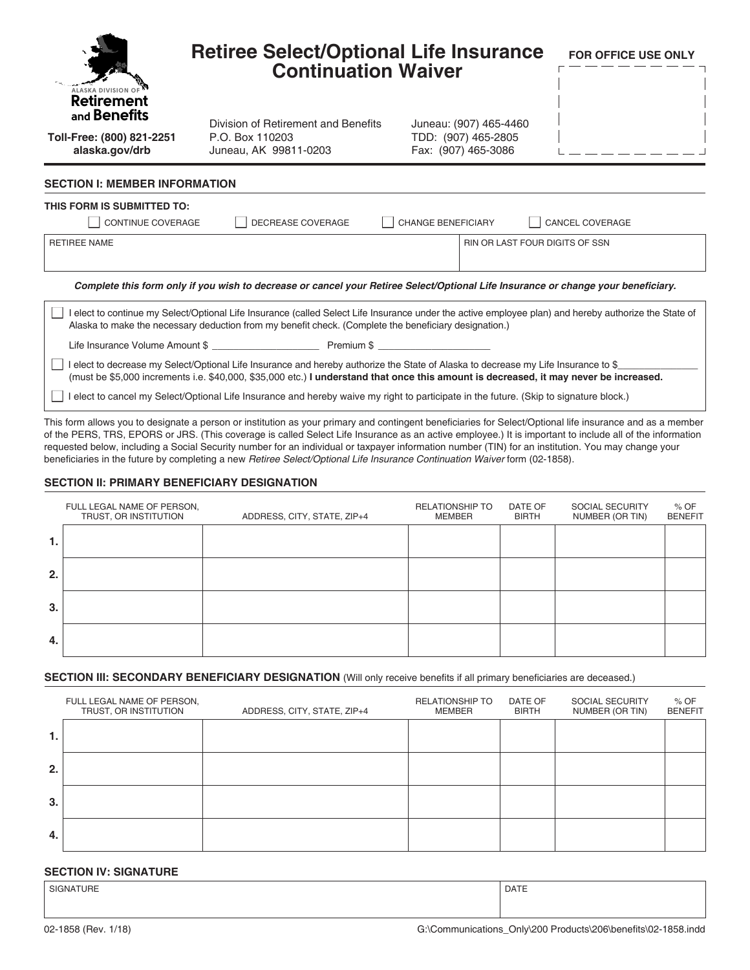| ALASKA DIVISION OF<br><b>Retirement</b>                                                                                                                                                                                                                                   | <b>Retiree Select/Optional Life Insurance</b><br><b>Continuation Waiver</b>                                                                          |                                               | <b>FOR OFFICE USE ONLY</b> |  |
|---------------------------------------------------------------------------------------------------------------------------------------------------------------------------------------------------------------------------------------------------------------------------|------------------------------------------------------------------------------------------------------------------------------------------------------|-----------------------------------------------|----------------------------|--|
| and <b>Benefits</b><br>Toll-Free: (800) 821-2251                                                                                                                                                                                                                          | Division of Retirement and Benefits<br>P.O. Box 110203                                                                                               | Juneau: (907) 465-4460<br>TDD: (907) 465-2805 |                            |  |
| alaska.gov/drb                                                                                                                                                                                                                                                            | Juneau, AK 99811-0203                                                                                                                                | Fax: (907) 465-3086                           |                            |  |
| <b>SECTION I: MEMBER INFORMATION</b><br>THIS FORM IS SUBMITTED TO:<br>CONTINUE COVERAGE                                                                                                                                                                                   | DECREASE COVERAGE                                                                                                                                    | <b>CHANGE BENEFICIARY</b>                     | CANCEL COVERAGE            |  |
| <b>RETIREE NAME</b>                                                                                                                                                                                                                                                       |                                                                                                                                                      | RIN OR LAST FOUR DIGITS OF SSN                |                            |  |
|                                                                                                                                                                                                                                                                           | Complete this form only if you wish to decrease or cancel your Retiree Select/Optional Life Insurance or change your beneficiary.                    |                                               |                            |  |
| elect to continue my Select/Optional Life Insurance (called Select Life Insurance under the active employee plan) and hereby authorize the State of<br>Alaska to make the necessary deduction from my benefit check. (Complete the beneficiary designation.)              |                                                                                                                                                      |                                               |                            |  |
|                                                                                                                                                                                                                                                                           |                                                                                                                                                      |                                               |                            |  |
| elect to decrease my Select/Optional Life Insurance and hereby authorize the State of Alaska to decrease my Life Insurance to \$<br>(must be \$5,000 increments i.e. \$40,000, \$35,000 etc.) I understand that once this amount is decreased, it may never be increased. |                                                                                                                                                      |                                               |                            |  |
| elect to cancel my Select/Optional Life Insurance and hereby waive my right to participate in the future. (Skip to signature block.)                                                                                                                                      |                                                                                                                                                      |                                               |                            |  |
|                                                                                                                                                                                                                                                                           | This faun allaws you to designate a novem ay institution as you avimant and equipment beneficiation for Calcat/Ontianal life incurrence and as a mam |                                               |                            |  |

This form allows you to designate a person or institution as your primary and contingent beneficiaries for Select/Optional life insurance and as a member of the PERS, TRS, EPORS or JRS. (This coverage is called Select Life Insurance as an active employee.) It is important to include all of the information requested below, including a Social Security number for an individual or taxpayer information number (TIN) for an institution. You may change your beneficiaries in the future by completing a new *Retiree Select/Optional Life Insurance Continuation Waiver* form (02-1858).

#### **SECTION II: PRIMARY BENEFICIARY DESIGNATION**

|    | FULL LEGAL NAME OF PERSON,<br>TRUST, OR INSTITUTION | ADDRESS, CITY, STATE, ZIP+4 | <b>RELATIONSHIP TO</b><br><b>MEMBER</b> | DATE OF<br><b>BIRTH</b> | <b>SOCIAL SECURITY</b><br>NUMBER (OR TIN) | % OF<br><b>BENEFIT</b> |
|----|-----------------------------------------------------|-----------------------------|-----------------------------------------|-------------------------|-------------------------------------------|------------------------|
| 1. |                                                     |                             |                                         |                         |                                           |                        |
| 2. |                                                     |                             |                                         |                         |                                           |                        |
| 3. |                                                     |                             |                                         |                         |                                           |                        |
| 4. |                                                     |                             |                                         |                         |                                           |                        |

#### **SECTION III: SECONDARY BENEFICIARY DESIGNATION** (Will only receive benefits if all primary beneficiaries are deceased.)

|    | FULL LEGAL NAME OF PERSON,<br>TRUST, OR INSTITUTION | ADDRESS, CITY, STATE, ZIP+4 | <b>RELATIONSHIP TO</b><br><b>MEMBER</b> | DATE OF<br><b>BIRTH</b> | SOCIAL SECURITY<br>NUMBER (OR TIN) | $%$ OF<br><b>BENEFIT</b> |
|----|-----------------------------------------------------|-----------------------------|-----------------------------------------|-------------------------|------------------------------------|--------------------------|
| 1. |                                                     |                             |                                         |                         |                                    |                          |
| 2. |                                                     |                             |                                         |                         |                                    |                          |
| 3. |                                                     |                             |                                         |                         |                                    |                          |
| 4. |                                                     |                             |                                         |                         |                                    |                          |

#### **SECTION IV: SIGNATURE**

| <b>SIGNATURE</b> | <b>DATE</b> |
|------------------|-------------|
|                  |             |